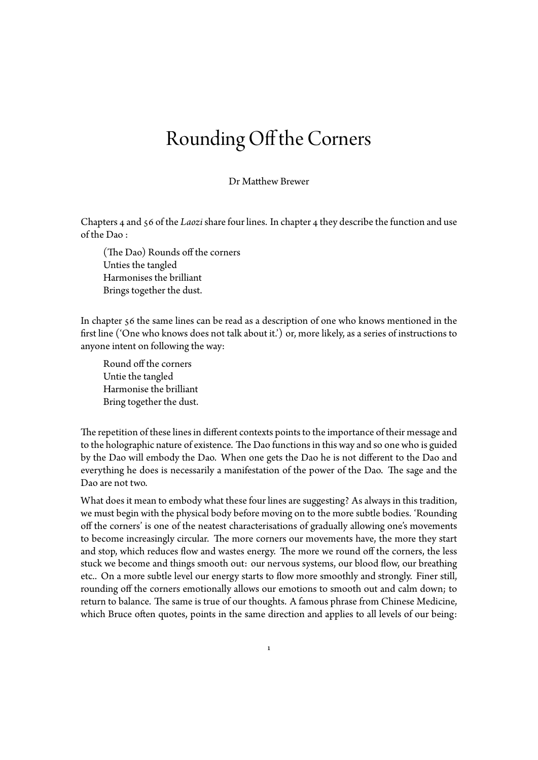## Rounding Off the Corners

Dr Matthew Brewer

Chapters 4 and 56 of the *Laozi* share four lines. In chapter 4 they describe the function and use of the Dao :

(The Dao) Rounds off the corners Unties the tangled Harmonises the brilliant Brings together the dust.

In chapter 56 the same lines can be read as a description of one who knows mentioned in the first line ('One who knows does not talk about it.') or, more likely, as a series of instructions to anyone intent on following the way:

Round off the corners Untie the tangled Harmonise the brilliant Bring together the dust.

The repetition of these lines in different contexts points to the importance of their message and to the holographic nature of existence. The Dao functions in this way and so one who is guided by the Dao will embody the Dao. When one gets the Dao he is not different to the Dao and everything he does is necessarily a manifestation of the power of the Dao. The sage and the Dao are not two.

What does it mean to embody what these four lines are suggesting? As always in this tradition, we must begin with the physical body before moving on to the more subtle bodies. 'Rounding off the corners' is one of the neatest characterisations of gradually allowing one's movements to become increasingly circular. The more corners our movements have, the more they start and stop, which reduces flow and wastes energy. The more we round off the corners, the less stuck we become and things smooth out: our nervous systems, our blood flow, our breathing etc.. On a more subtle level our energy starts to flow more smoothly and strongly. Finer still, rounding off the corners emotionally allows our emotions to smooth out and calm down; to return to balance. The same is true of our thoughts. A famous phrase from Chinese Medicine, which Bruce often quotes, points in the same direction and applies to all levels of our being:

1